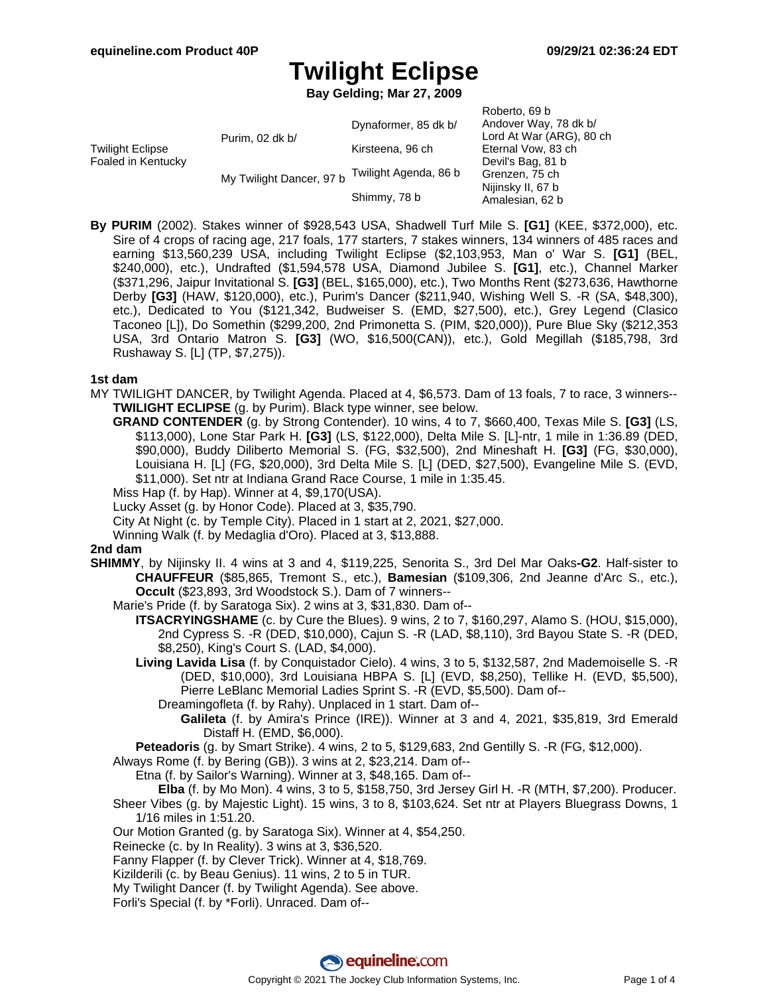**Bay Gelding; Mar 27, 2009**

| Twilight Eclipse<br>Foaled in Kentucky | Purim, 02 dk b/          | Dynaformer, 85 dk b/  | Roberto, 69 b<br>Andover Way, 78 dk b/<br>Lord At War (ARG), 80 ch<br>Eternal Vow, 83 ch |
|----------------------------------------|--------------------------|-----------------------|------------------------------------------------------------------------------------------|
|                                        |                          | Kirsteena, 96 ch      |                                                                                          |
|                                        | My Twilight Dancer, 97 b |                       | Devil's Bag, 81 b                                                                        |
|                                        |                          | Twilight Agenda, 86 b | Grenzen, 75 ch                                                                           |
|                                        |                          | Shimmy, 78 b          | Nijinsky II, 67 b<br>Amalesian, 62 b                                                     |

**By PURIM** (2002). Stakes winner of \$928,543 USA, Shadwell Turf Mile S. **[G1]** (KEE, \$372,000), etc. Sire of 4 crops of racing age, 217 foals, 177 starters, 7 stakes winners, 134 winners of 485 races and earning \$13,560,239 USA, including Twilight Eclipse (\$2,103,953, Man o' War S. **[G1]** (BEL, \$240,000), etc.), Undrafted (\$1,594,578 USA, Diamond Jubilee S. **[G1]**, etc.), Channel Marker (\$371,296, Jaipur Invitational S. **[G3]** (BEL, \$165,000), etc.), Two Months Rent (\$273,636, Hawthorne Derby **[G3]** (HAW, \$120,000), etc.), Purim's Dancer (\$211,940, Wishing Well S. -R (SA, \$48,300), etc.), Dedicated to You (\$121,342, Budweiser S. (EMD, \$27,500), etc.), Grey Legend (Clasico Taconeo [L]), Do Somethin (\$299,200, 2nd Primonetta S. (PIM, \$20,000)), Pure Blue Sky (\$212,353 USA, 3rd Ontario Matron S. **[G3]** (WO, \$16,500(CAN)), etc.), Gold Megillah (\$185,798, 3rd Rushaway S. [L] (TP, \$7,275)).

### **1st dam**

MY TWILIGHT DANCER, by Twilight Agenda. Placed at 4, \$6,573. Dam of 13 foals, 7 to race, 3 winners-- **TWILIGHT ECLIPSE** (g. by Purim). Black type winner, see below.

**GRAND CONTENDER** (g. by Strong Contender). 10 wins, 4 to 7, \$660,400, Texas Mile S. **[G3]** (LS, \$113,000), Lone Star Park H. **[G3]** (LS, \$122,000), Delta Mile S. [L]-ntr, 1 mile in 1:36.89 (DED, \$90,000), Buddy Diliberto Memorial S. (FG, \$32,500), 2nd Mineshaft H. **[G3]** (FG, \$30,000), Louisiana H. [L] (FG, \$20,000), 3rd Delta Mile S. [L] (DED, \$27,500), Evangeline Mile S. (EVD, \$11,000). Set ntr at Indiana Grand Race Course, 1 mile in 1:35.45.

Miss Hap (f. by Hap). Winner at 4, \$9,170(USA).

Lucky Asset (g. by Honor Code). Placed at 3, \$35,790.

City At Night (c. by Temple City). Placed in 1 start at 2, 2021, \$27,000.

Winning Walk (f. by Medaglia d'Oro). Placed at 3, \$13,888.

### **2nd dam**

- **SHIMMY**, by Nijinsky II. 4 wins at 3 and 4, \$119,225, Senorita S., 3rd Del Mar Oaks**-G2**. Half-sister to **CHAUFFEUR** (\$85,865, Tremont S., etc.), **Bamesian** (\$109,306, 2nd Jeanne d'Arc S., etc.), **Occult** (\$23,893, 3rd Woodstock S.). Dam of 7 winners--
	- Marie's Pride (f. by Saratoga Six). 2 wins at 3, \$31,830. Dam of--
		- **ITSACRYINGSHAME** (c. by Cure the Blues). 9 wins, 2 to 7, \$160,297, Alamo S. (HOU, \$15,000), 2nd Cypress S. -R (DED, \$10,000), Cajun S. -R (LAD, \$8,110), 3rd Bayou State S. -R (DED, \$8,250), King's Court S. (LAD, \$4,000).
		- **Living Lavida Lisa** (f. by Conquistador Cielo). 4 wins, 3 to 5, \$132,587, 2nd Mademoiselle S. -R (DED, \$10,000), 3rd Louisiana HBPA S. [L] (EVD, \$8,250), Tellike H. (EVD, \$5,500), Pierre LeBlanc Memorial Ladies Sprint S. -R (EVD, \$5,500). Dam of--
			- Dreamingofleta (f. by Rahy). Unplaced in 1 start. Dam of--
				- **Galileta** (f. by Amira's Prince (IRE)). Winner at 3 and 4, 2021, \$35,819, 3rd Emerald Distaff H. (EMD, \$6,000).

**Peteadoris** (g. by Smart Strike). 4 wins, 2 to 5, \$129,683, 2nd Gentilly S. -R (FG, \$12,000).

Always Rome (f. by Bering (GB)). 3 wins at 2, \$23,214. Dam of--

Etna (f. by Sailor's Warning). Winner at 3, \$48,165. Dam of--

- **Elba** (f. by Mo Mon). 4 wins, 3 to 5, \$158,750, 3rd Jersey Girl H. -R (MTH, \$7,200). Producer. Sheer Vibes (g. by Majestic Light). 15 wins, 3 to 8, \$103,624. Set ntr at Players Bluegrass Downs, 1 1/16 miles in 1:51.20.
- Our Motion Granted (g. by Saratoga Six). Winner at 4, \$54,250.

Reinecke (c. by In Reality). 3 wins at 3, \$36,520.

- Fanny Flapper (f. by Clever Trick). Winner at 4, \$18,769.
- Kizilderili (c. by Beau Genius). 11 wins, 2 to 5 in TUR.
- My Twilight Dancer (f. by Twilight Agenda). See above.

Forli's Special (f. by \*Forli). Unraced. Dam of--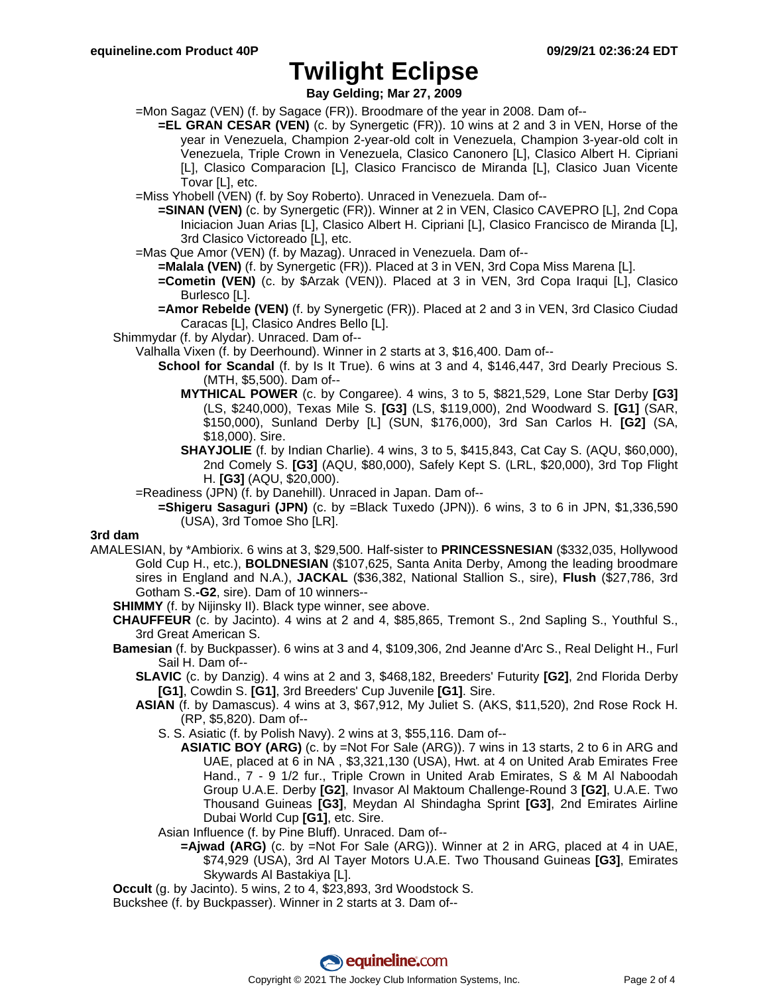**Bay Gelding; Mar 27, 2009**

- =Mon Sagaz (VEN) (f. by Sagace (FR)). Broodmare of the year in 2008. Dam of--
	- **=EL GRAN CESAR (VEN)** (c. by Synergetic (FR)). 10 wins at 2 and 3 in VEN, Horse of the year in Venezuela, Champion 2-year-old colt in Venezuela, Champion 3-year-old colt in Venezuela, Triple Crown in Venezuela, Clasico Canonero [L], Clasico Albert H. Cipriani [L], Clasico Comparacion [L], Clasico Francisco de Miranda [L], Clasico Juan Vicente Tovar [L], etc.
- =Miss Yhobell (VEN) (f. by Soy Roberto). Unraced in Venezuela. Dam of--
	- **=SINAN (VEN)** (c. by Synergetic (FR)). Winner at 2 in VEN, Clasico CAVEPRO [L], 2nd Copa Iniciacion Juan Arias [L], Clasico Albert H. Cipriani [L], Clasico Francisco de Miranda [L], 3rd Clasico Victoreado [L], etc.
- =Mas Que Amor (VEN) (f. by Mazag). Unraced in Venezuela. Dam of--
	- **=Malala (VEN)** (f. by Synergetic (FR)). Placed at 3 in VEN, 3rd Copa Miss Marena [L].
	- **=Cometin (VEN)** (c. by \$Arzak (VEN)). Placed at 3 in VEN, 3rd Copa Iraqui [L], Clasico Burlesco [L].
	- **=Amor Rebelde (VEN)** (f. by Synergetic (FR)). Placed at 2 and 3 in VEN, 3rd Clasico Ciudad Caracas [L], Clasico Andres Bello [L].
- Shimmydar (f. by Alydar). Unraced. Dam of--
	- Valhalla Vixen (f. by Deerhound). Winner in 2 starts at 3, \$16,400. Dam of--
		- **School for Scandal** (f. by Is It True). 6 wins at 3 and 4, \$146,447, 3rd Dearly Precious S. (MTH, \$5,500). Dam of--
			- **MYTHICAL POWER** (c. by Congaree). 4 wins, 3 to 5, \$821,529, Lone Star Derby **[G3]** (LS, \$240,000), Texas Mile S. **[G3]** (LS, \$119,000), 2nd Woodward S. **[G1]** (SAR, \$150,000), Sunland Derby [L] (SUN, \$176,000), 3rd San Carlos H. **[G2]** (SA, \$18,000). Sire.
			- **SHAYJOLIE** (f. by Indian Charlie). 4 wins, 3 to 5, \$415,843, Cat Cay S. (AQU, \$60,000), 2nd Comely S. **[G3]** (AQU, \$80,000), Safely Kept S. (LRL, \$20,000), 3rd Top Flight H. **[G3]** (AQU, \$20,000).
	- =Readiness (JPN) (f. by Danehill). Unraced in Japan. Dam of--
	- **=Shigeru Sasaguri (JPN)** (c. by =Black Tuxedo (JPN)). 6 wins, 3 to 6 in JPN, \$1,336,590 (USA), 3rd Tomoe Sho [LR].

### **3rd dam**

- AMALESIAN, by \*Ambiorix. 6 wins at 3, \$29,500. Half-sister to **PRINCESSNESIAN** (\$332,035, Hollywood Gold Cup H., etc.), **BOLDNESIAN** (\$107,625, Santa Anita Derby, Among the leading broodmare sires in England and N.A.), **JACKAL** (\$36,382, National Stallion S., sire), **Flush** (\$27,786, 3rd Gotham S.**-G2**, sire). Dam of 10 winners--
	- **SHIMMY** (f. by Nijinsky II). Black type winner, see above.
	- **CHAUFFEUR** (c. by Jacinto). 4 wins at 2 and 4, \$85,865, Tremont S., 2nd Sapling S., Youthful S., 3rd Great American S.
	- **Bamesian** (f. by Buckpasser). 6 wins at 3 and 4, \$109,306, 2nd Jeanne d'Arc S., Real Delight H., Furl Sail H. Dam of--
		- **SLAVIC** (c. by Danzig). 4 wins at 2 and 3, \$468,182, Breeders' Futurity **[G2]**, 2nd Florida Derby **[G1]**, Cowdin S. **[G1]**, 3rd Breeders' Cup Juvenile **[G1]**. Sire.
		- **ASIAN** (f. by Damascus). 4 wins at 3, \$67,912, My Juliet S. (AKS, \$11,520), 2nd Rose Rock H. (RP, \$5,820). Dam of--
			- S. S. Asiatic (f. by Polish Navy). 2 wins at 3, \$55,116. Dam of--
				- **ASIATIC BOY (ARG)** (c. by =Not For Sale (ARG)). 7 wins in 13 starts, 2 to 6 in ARG and UAE, placed at 6 in NA , \$3,321,130 (USA), Hwt. at 4 on United Arab Emirates Free Hand., 7 - 9 1/2 fur., Triple Crown in United Arab Emirates, S & M Al Naboodah Group U.A.E. Derby **[G2]**, Invasor Al Maktoum Challenge-Round 3 **[G2]**, U.A.E. Two Thousand Guineas **[G3]**, Meydan Al Shindagha Sprint **[G3]**, 2nd Emirates Airline Dubai World Cup **[G1]**, etc. Sire.
			- Asian Influence (f. by Pine Bluff). Unraced. Dam of--
				- **=Ajwad (ARG)** (c. by =Not For Sale (ARG)). Winner at 2 in ARG, placed at 4 in UAE, \$74,929 (USA), 3rd Al Tayer Motors U.A.E. Two Thousand Guineas **[G3]**, Emirates Skywards Al Bastakiya [L].
	- **Occult** (g. by Jacinto). 5 wins, 2 to 4, \$23,893, 3rd Woodstock S.

Buckshee (f. by Buckpasser). Winner in 2 starts at 3. Dam of--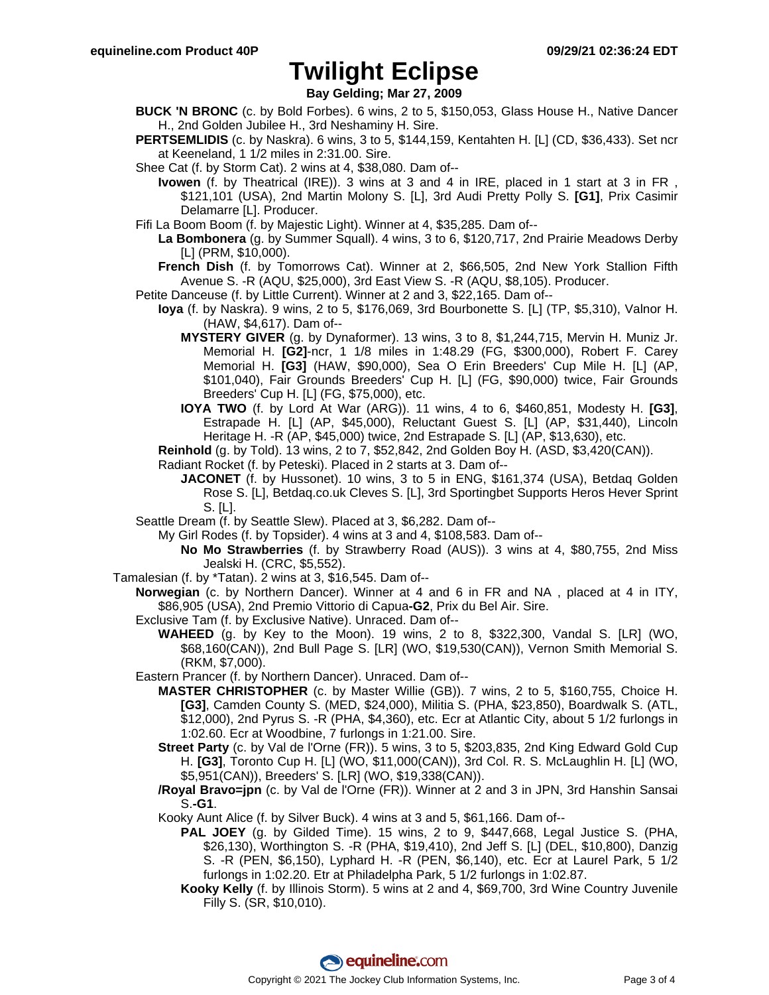**Bay Gelding; Mar 27, 2009**

- **BUCK 'N BRONC** (c. by Bold Forbes). 6 wins, 2 to 5, \$150,053, Glass House H., Native Dancer H., 2nd Golden Jubilee H., 3rd Neshaminy H. Sire.
- **PERTSEMLIDIS** (c. by Naskra). 6 wins, 3 to 5, \$144,159, Kentahten H. [L] (CD, \$36,433). Set ncr at Keeneland, 1 1/2 miles in 2:31.00. Sire.
- Shee Cat (f. by Storm Cat). 2 wins at 4, \$38,080. Dam of--

**Ivowen** (f. by Theatrical (IRE)). 3 wins at 3 and 4 in IRE, placed in 1 start at 3 in FR , \$121,101 (USA), 2nd Martin Molony S. [L], 3rd Audi Pretty Polly S. **[G1]**, Prix Casimir Delamarre [L]. Producer.

- Fifi La Boom Boom (f. by Majestic Light). Winner at 4, \$35,285. Dam of--
	- **La Bombonera** (g. by Summer Squall). 4 wins, 3 to 6, \$120,717, 2nd Prairie Meadows Derby [L] (PRM, \$10,000).
	- **French Dish** (f. by Tomorrows Cat). Winner at 2, \$66,505, 2nd New York Stallion Fifth Avenue S. -R (AQU, \$25,000), 3rd East View S. -R (AQU, \$8,105). Producer.
- Petite Danceuse (f. by Little Current). Winner at 2 and 3, \$22,165. Dam of--
	- **Ioya** (f. by Naskra). 9 wins, 2 to 5, \$176,069, 3rd Bourbonette S. [L] (TP, \$5,310), Valnor H. (HAW, \$4,617). Dam of--
		- **MYSTERY GIVER** (g. by Dynaformer). 13 wins, 3 to 8, \$1,244,715, Mervin H. Muniz Jr. Memorial H. **[G2]**-ncr, 1 1/8 miles in 1:48.29 (FG, \$300,000), Robert F. Carey Memorial H. **[G3]** (HAW, \$90,000), Sea O Erin Breeders' Cup Mile H. [L] (AP, \$101,040), Fair Grounds Breeders' Cup H. [L] (FG, \$90,000) twice, Fair Grounds Breeders' Cup H. [L] (FG, \$75,000), etc.
		- **IOYA TWO** (f. by Lord At War (ARG)). 11 wins, 4 to 6, \$460,851, Modesty H. **[G3]**, Estrapade H. [L] (AP, \$45,000), Reluctant Guest S. [L] (AP, \$31,440), Lincoln Heritage H. -R (AP, \$45,000) twice, 2nd Estrapade S. [L] (AP, \$13,630), etc.

**Reinhold** (g. by Told). 13 wins, 2 to 7, \$52,842, 2nd Golden Boy H. (ASD, \$3,420(CAN)).

- Radiant Rocket (f. by Peteski). Placed in 2 starts at 3. Dam of--
	- **JACONET** (f. by Hussonet). 10 wins, 3 to 5 in ENG, \$161,374 (USA), Betdaq Golden Rose S. [L], Betdaq.co.uk Cleves S. [L], 3rd Sportingbet Supports Heros Hever Sprint S. [L].
- Seattle Dream (f. by Seattle Slew). Placed at 3, \$6,282. Dam of--

My Girl Rodes (f. by Topsider). 4 wins at 3 and 4, \$108,583. Dam of--

- **No Mo Strawberries** (f. by Strawberry Road (AUS)). 3 wins at 4, \$80,755, 2nd Miss Jealski H. (CRC, \$5,552).
- Tamalesian (f. by \*Tatan). 2 wins at 3, \$16,545. Dam of--
	- **Norwegian** (c. by Northern Dancer). Winner at 4 and 6 in FR and NA , placed at 4 in ITY, \$86,905 (USA), 2nd Premio Vittorio di Capua**-G2**, Prix du Bel Air. Sire.
		- Exclusive Tam (f. by Exclusive Native). Unraced. Dam of--
		- **WAHEED** (g. by Key to the Moon). 19 wins, 2 to 8, \$322,300, Vandal S. [LR] (WO, \$68,160(CAN)), 2nd Bull Page S. [LR] (WO, \$19,530(CAN)), Vernon Smith Memorial S. (RKM, \$7,000).
		- Eastern Prancer (f. by Northern Dancer). Unraced. Dam of--
			- **MASTER CHRISTOPHER** (c. by Master Willie (GB)). 7 wins, 2 to 5, \$160,755, Choice H. **[G3]**, Camden County S. (MED, \$24,000), Militia S. (PHA, \$23,850), Boardwalk S. (ATL, \$12,000), 2nd Pyrus S. -R (PHA, \$4,360), etc. Ecr at Atlantic City, about 5 1/2 furlongs in 1:02.60. Ecr at Woodbine, 7 furlongs in 1:21.00. Sire.
			- **Street Party** (c. by Val de l'Orne (FR)). 5 wins, 3 to 5, \$203,835, 2nd King Edward Gold Cup H. **[G3]**, Toronto Cup H. [L] (WO, \$11,000(CAN)), 3rd Col. R. S. McLaughlin H. [L] (WO, \$5,951(CAN)), Breeders' S. [LR] (WO, \$19,338(CAN)).
			- **/Royal Bravo=jpn** (c. by Val de l'Orne (FR)). Winner at 2 and 3 in JPN, 3rd Hanshin Sansai S.**-G1**.
			- Kooky Aunt Alice (f. by Silver Buck). 4 wins at 3 and 5, \$61,166. Dam of--
				- **PAL JOEY** (g. by Gilded Time). 15 wins, 2 to 9, \$447,668, Legal Justice S. (PHA, \$26,130), Worthington S. -R (PHA, \$19,410), 2nd Jeff S. [L] (DEL, \$10,800), Danzig S. -R (PEN, \$6,150), Lyphard H. -R (PEN, \$6,140), etc. Ecr at Laurel Park, 5 1/2 furlongs in 1:02.20. Etr at Philadelpha Park, 5 1/2 furlongs in 1:02.87.
				- **Kooky Kelly** (f. by Illinois Storm). 5 wins at 2 and 4, \$69,700, 3rd Wine Country Juvenile Filly S. (SR, \$10,010).